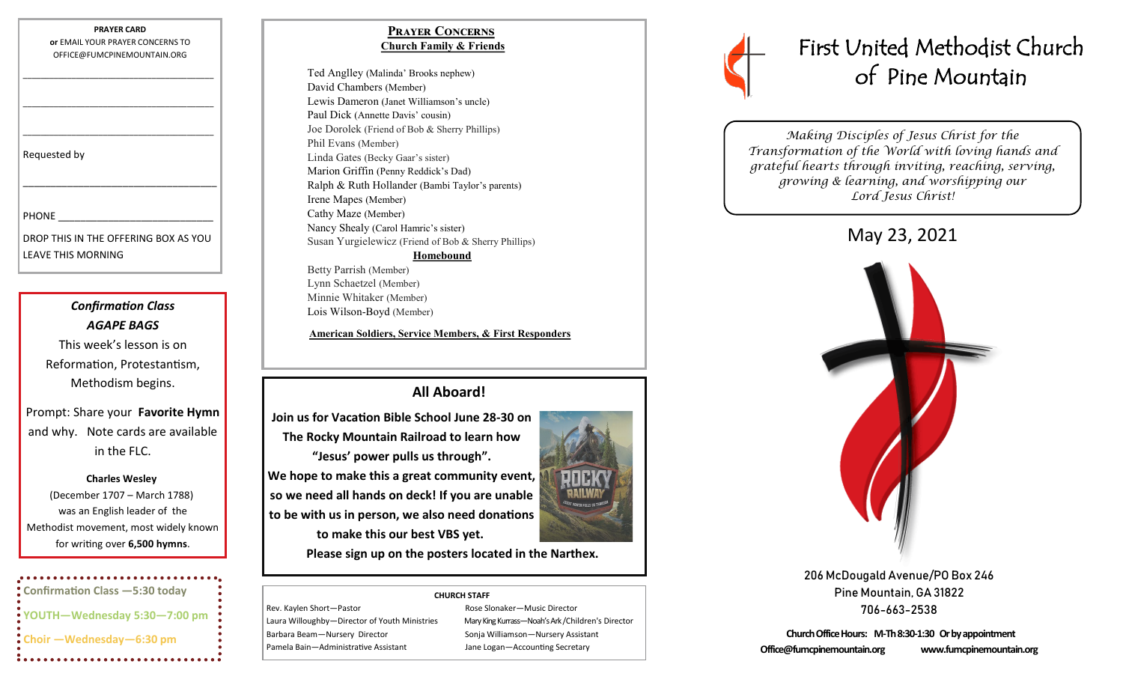**PRAYER CARD or** EMAIL YOUR PRAYER CONCERNS TO OFFICE@FUMCPINEMOUNTAIN.ORG

\_\_\_\_\_\_\_\_\_\_\_\_\_\_\_\_\_\_\_\_\_\_\_\_\_\_\_\_\_\_\_\_\_\_\_\_\_\_\_\_\_\_\_

\_\_\_\_\_\_\_\_\_\_\_\_\_\_\_\_\_\_\_\_\_\_\_\_\_\_\_\_\_\_\_\_\_\_\_\_\_\_\_\_\_\_\_

\_\_\_\_\_\_\_\_\_\_\_\_\_\_\_\_\_\_\_\_\_\_\_\_\_\_\_\_\_\_\_\_\_\_\_\_\_\_\_\_\_\_\_

\_\_\_\_\_\_\_\_\_\_\_\_\_\_\_\_\_\_\_\_\_\_\_\_\_\_\_\_\_\_\_\_\_\_\_

Requested by

**PHONE** 

DROP THIS IN THE OFFERING BOX AS YOU LEAVE THIS MORNING

> *Confirmation Class AGAPE BAGS*

This week's lesson is on Reformation, Protestantism, Methodism begins.

Prompt: Share your **Favorite Hymn** and why. Note cards are available in the FLC.

#### **Charles Wesley**

(December 1707 – March 1788) was an English leader of the Methodist movement, most widely known for writing over **6,500 hymns**.

**Confirmation Class —5:30 today YOUTH—Wednesday 5:30—7:00 pm Choir —Wednesday—6:30 pm** 

## **Prayer Concerns Church Family & Friends**

Ted Anglley (Malinda' Brooks nephew) David Chambers (Member) Lewis Dameron (Janet Williamson's uncle) Paul Dick (Annette Davis' cousin) Joe Dorolek (Friend of Bob & Sherry Phillips) Phil Evans (Member) Linda Gates (Becky Gaar's sister) Marion Griffin (Penny Reddick's Dad) Ralph & Ruth Hollander (Bambi Taylor's parents) Irene Mapes (Member) Cathy Maze (Member) Nancy Shealy (Carol Hamric's sister) Susan Yurgielewicz (Friend of Bob & Sherry Phillips) **Homebound** Betty Parrish (Member) Lynn Schaetzel (Member)

**American Soldiers, Service Members, & First Responders**

# **All Aboard!**

**Join us for Vacation Bible School June 28-30 on The Rocky Mountain Railroad to learn how "Jesus' power pulls us through". We hope to make this a great community event, so we need all hands on deck! If you are unable** 

**to be with us in person, we also need donations to make this our best VBS yet.**

Minnie Whitaker (Member) Lois Wilson-Boyd (Member)



**Please sign up on the posters located in the Narthex.**

#### **CHURCH STAFF**

Rev. Kaylen Short-Pastor **Rose Slonaker-Music Director** Rose Slonaker-Music Director Barbara Beam—Nursery Director Sonja Williamson—Nursery Assistant Pamela Bain—Administrative Assistant Jane Logan—Accounting Secretary

Laura Willoughby—Director of Youth Ministries Mary King Kurrass—Noah's Ark /Children's Director



*Making Disciples of Jesus Christ for the Transformation of the World with loving hands and grateful hearts through inviting, reaching, serving, growing & learning, and worshipping our Lord Jesus Christ!* 

May 23, 2021



206 McDougald Avenue/PO Box 246 Pine Mountain, GA 31822 706-663-2538

**Church Office Hours: M-Th 8:30-1:30 Or by appointment Office@fumcpinemountain.org www.fumcpinemountain.org**